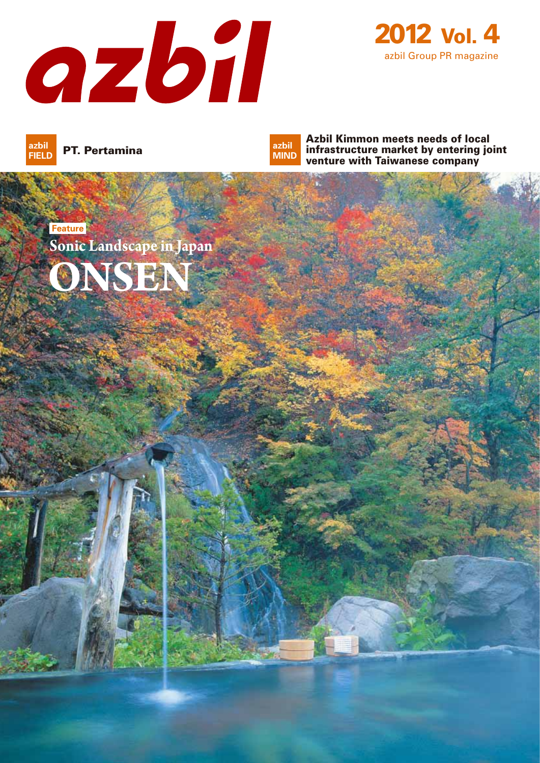



PT. Pertamina **azbil FIELD**

Azbil Kimmon meets needs of local infrastructure market by entering joint venture with Taiwanese company **azbil MIND**

**Feature ONSEN Sonic Landscape in Japan**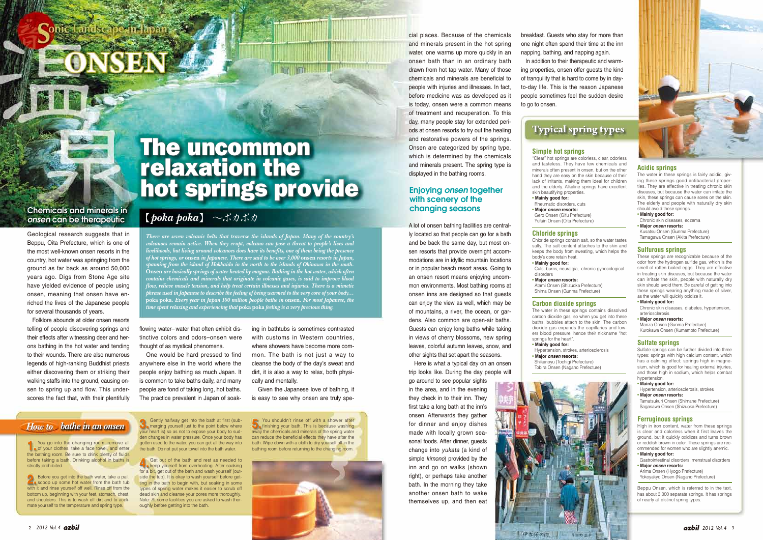

## 【*poka poka*】 〜ポカポカ

*There are seven volcanic belts that traverse the islands of Japan. Many of the country's volcanoes remain active. When they erupt, volcano can pose a threat to people's lives and livelihoods, but living around volcanoes does have its benefits, one of them being the presence of hot springs, or* **onsen** *in Japanese. There are said to be over 3,000* **onsen** *resorts in Japan, spanning from the island of Hokkaido in the north to the islands of Okinawa in the south.*  **Onsen** *are basically springs of water heated by magma. Bathing in the hot water, which often contains chemicals and minerals that originate in volcanic gases, is said to improve blood flow, relieve muscle tension, and help treat certain illnesses and injuries. There is a mimetic phrase used in Japanese to describe the feeling of being warmed to the very core of your body…* **poka poka***. Every year in Japan 100 million people bathe in* **onsen***. For most Japanese, the time spent relaxing and experiencing that* **poka poka** *feeling is a very precious thing.* 

cial places. Because of the chemicals and minerals present in the hot spring water, one warms up more quickly in an onsen bath than in an ordinary bath drawn from hot tap water. Many of those chemicals and minerals are beneficial to people with injuries and illnesses. In fact, before medicine was as developed as it is today, onsen were a common means of treatment and recuperation. To this day, many people stay for extended periods at onsen resorts to try out the healing and restorative powers of the springs. Onsen are categorized by spring type, which is determined by the chemicals and minerals present. The spring type is displayed in the bathing rooms.

A lot of onsen bathing facilities are centrally located so that people can go for a bath and be back the same day, but most onsen resorts that provide overnight accommodations are in idyllic mountain locations or in popular beach resort areas. Going to an onsen resort means enjoying uncommon environments. Most bathing rooms at onsen inns are designed so that guests can enjoy the view as well, which may be of mountains, a river, the ocean, or gardens. Also common are open-air baths. Guests can enjoy long baths while taking in views of cherry blossoms, new spring leaves, colorful autumn leaves, snow, and other sights that set apart the seasons.

 Here is what a typical day on an onsen trip looks like. During the day people will

"Clear" hot springs are colorless, clear, odorless and tasteless. They have few chemicals and minerals often present in onsen, but on the other hand they are easy on the skin because of their lack of irritants, making them ideal for children and the elderly. Alkaline springs have excellent skin beautifying properties.

go around to see popular sights in the area, and in the evening they check in to their inn. They first take a long bath at the inn's onsen. Afterwards they gather for dinner and enjoy dishes made with locally grown seasonal foods. After dinner, guests change into *yukata* (a kind of simple *kimono*) provided by the inn and go on walks (shown right), or perhaps take another bath. In the morning they take another onsen bath to wake themselves up, and then eat

ing in bathtubs is sometimes contrasted with customs in Western countries, where showers have become more common. The bath is not just a way to cleanse the body of the day's sweat and dirt, it is also a way to relax, both physically and mentally.

 Given the Japanese love of bathing, it is easy to see why onsen are truly spe-

flowing water– water that often exhibit distinctive colors and odors–onsen were thought of as mystical phenomena.

 One would be hard pressed to find anywhere else in the world where the people enjoy bathing as much Japan. It is common to take baths daily, and many people are fond of taking long, hot baths. The practice prevalent in Japan of soak-

The water in these springs is fairly acidic, giving these springs good antibacterial properties. They are effective in treating chronic skin diseases, but because the water can irritate the skin, these springs can cause sores on the skin. The elderly and people with naturally dry skin should avoid these springs.

These springs are recognizable because of the odor from the hydrogen sulfide gas, which is the smell of rotten boiled eggs. They are effective in treating skin diseases, but because the water can irritate the skin, people with naturally dry skin should avoid them. Be careful of getting into these springs wearing anything made of silver as the water will quickly oxidize it.

Geological research suggests that in Beppu, Oita Prefecture, which is one of the most well-known onsen resorts in the country, hot water was springing from the ground as far back as around 50,000 years ago. Digs from Stone Age site have yielded evidence of people using onsen, meaning that onsen have enriched the lives of the Japanese people for several thousands of years.

 Folklore abounds at older onsen resorts telling of people discovering springs and their effects after witnessing deer and herons bathing in the hot water and tending to their wounds. There are also numerous legends of high-ranking Buddhist priests either discovering them or striking their walking staffs into the ground, causing onsen to spring up and flow. This underscores the fact that, with their plentifully

# onte Landscape in

### Chemicals and minerals in *onsen* can be therapeutic

 In addition to their therapeutic and warming properties, onsen offer guests the kind of tranquility that is hard to come by in dayto-day life. This is the reason Japanese people sometimes feel the sudden desire to go to onsen.

Before you get into the bath water, take a pail, **2.**scoop up some hot water from the bath tub with it and rinse yourself off well. Rinse off from the bottom up, beginning with your feet, stomach, chest, and shoulders. This is to wash off dirt and to acclimate yourself to the temperature and spring type.

#### **Simple hot springs**

**• Mainly good for:** Rheumatic disorders, cuts

**• Major** *onsen* **resorts:** Gero Onsen (Gifu Prefecture) Yufuin Onsen (Oita Prefecture)

#### **Chloride springs**

Chloride springs contain salt, so the water tastes salty. The salt content attaches to the skin and keeps the body from sweating, which helps the body's core retain heat. **• Mainly good for:** Cuts, burns, neuralgia, chronic gynecological

 disorders **• Major** *onsen* **resorts:** Atami Onsen (Shizuoka Prefecture) Shima Onsen (Gunma Prefecture)

### **Carbon dioxide springs**

The water in these springs contains dissolved carbon dioxide gas, so when you get into these baths, bubbles attach to the skin. The carbon dioxide gas expands the capillaries and lowers blood pressure, hence their nickname "hot springs for the heart" **• Mainly good for:**

 Hypertension, strokes, arteriosclerosis **• Major** *onsen* **resorts:** Shikanoyu (Tochigi Prefecture) Tobira Onsen (Nagano Prefecture)

Gently halfway get into the bath at first (sub- $\Box$  merging yourself just to the point below where your heart is) so as not to expose your body to sudden changes in water pressure. Once your body has gotten used to the water, you can get all the way into the bath. Do not put your towel into the bath water.

Get out of the bath and rest as needed to **A** Get out of the bath and rest as needed to **4.**<br>**4.** Reep yourself from overheating. After soaking for a bit, get out of the bath and wash yourself (outside the tub). It is okay to wash yourself before getting in the bath to begin with, but soaking in some types of spring water makes it easier to scrub off dead skin and cleanse your pores more thoroughly. Note: At some facilities you are asked to wash thoroughly before getting into the bath.

#### **Acidic springs**

- **Mainly good for:**
- Chronic skin diseases, eczema
- **Major** *onsen* **resorts:** Kusatsu Onsen (Gunma Prefecture) Tamagawa Onsen (Akita Prefecture)

#### **Sulfurous springs**

- **Mainly good for:**
- Chronic skin diseases, diabetes, hypertension, arteriosclerosis
- **Major** *onsen* **resorts:**
- Manza Onsen (Gunma Prefecture) Kurokawa Onsen (Kumamoto Prefecture)

#### **Sulfate springs**

Sulfate springs can be further divided into three types: springs with high calcium content, which has a calming effect; springs high in magnesium, which is good for healing external injuries, and those high in sodium, which helps combat hypertension.

- **Mainly good for:**
- Hypertension, arteriosclerosis, strokes **• Major** *onsen* **resorts:**
- Tamatsukuri Onsen (Shimane Prefecture) Sagasawa Onsen (Shizuoka Prefecture)

#### **Ferruginous springs**

High in iron content, water from these springs is clear and colorless when it first leaves the ground, but it quickly oxidizes and turns brown or reddish brown in color. These springs are recommended for women who are slightly anemic.

- **Mainly good for:** Gastrointestinal disorders, menstrual disorders
- **Major** *onsen* **resorts:** Arima Onsen (Hyogo Prefecture)
- Yokoyakyo Onsen (Nagano Prefecture)

Beppu Onsen, which is referred to in the text, has about 3,000 separate springs. It has springs of nearly all distinct spring types.

You shouldn't rinse off with a shower after finishing your bath. This is because washing away the chemicals and minerals of the spring water can reduce the beneficial effects they have after the bath. Wipe down with a cloth to dry yourself off in the bathing room before returning to the changing room.



breakfast. Guests who stay for more than one night often spend their time at the inn napping, bathing, and napping again.

### Enjoying *onsen* together with scenery of the changing seasons

# The uncommon relaxation the hot springs provide



- 
- 
- 

- 
- 
- 



### *How to bathe in an onsen* **3. 5.**

You go into the changing room, remove all You go into the changing room, remove all<br> **1.** of your clothes, take a face towel, and enter the bathing room. Be sure to drink plenty of fluids before taking a bath. Drinking alcohol in baths is strictly prohibited.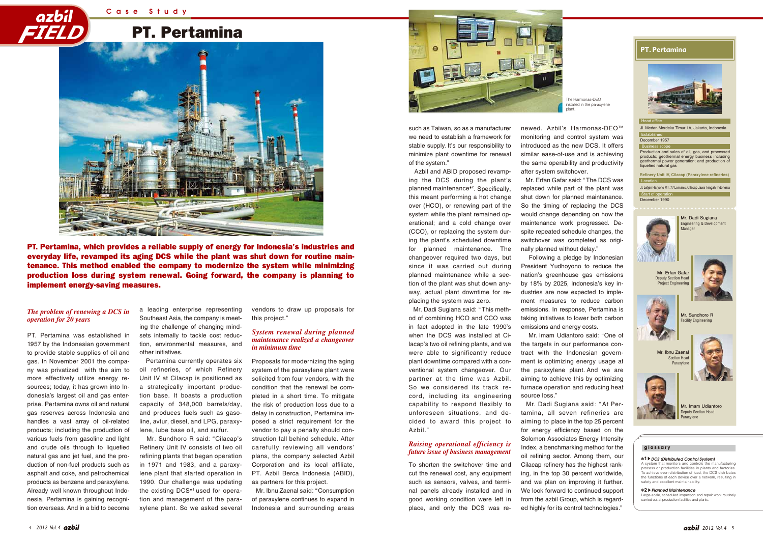# PT. Pertamina



PT. Pertamina, which provides a reliable supply of energy for Indonesia's industries and everyday life, revamped its aging DCS while the plant was shut down for routine maintenance. This method enabled the company to modernize the system while minimizing production loss during system renewal. Going forward, the company is planning to implement energy-saving measures.

#### **PT. Pertamina**

such as Taiwan, so as a manufacturer we need to establish a framework for stable supply. It's our responsibility to minimize plant downtime for renewal of the system."

newed. Azbil's Harmonas-DEO<sup>™</sup> monitoring and control system was introduced as the new DCS. It offers similar ease-of-use and is achieving the same operability and productivity after system switchover.

 Azbil and ABID proposed revamping the DCS during the plant's planned maintenance<sup>\*2</sup>. Specifically, this meant performing a hot change over (HCO), or renewing part of the system while the plant remained operational; and a cold change over (CCO), or replacing the system during the plant's scheduled downtime for planned maintenance. The changeover required two days, but since it was carried out during planned maintenance while a section of the plant was shut down anyway, actual plant downtime for replacing the system was zero.

> Mr. Dadi Sugiana said : " At Pertamina, all seven refineries are aiming to place in the top 25 percent for energy efficiency based on the Solomon Associates Energy Intensity Index, a benchmarking method for the oil refining sector. Among them, our Cilacap refinery has the highest ranking, in the top 30 percent worldwide, and we plan on improving it further. We look forward to continued support from the azbil Group, which is regarded highly for its control technologies."

 Mr. Dadi Sugiana said: " This method of combining HCO and CCO was in fact adopted in the late 1990's when the DCS was installed at Cilacap's two oil refining plants, and we were able to significantly reduce plant downtime compared with a conventional system changeover. Our partner at the time was Azbil. So we considered its track record, including its engineering capability to respond flexibly to unforeseen situations, and decided to award this project to Azbil."

To shorten the switchover time and cut the renewal cost, any equipment such as sensors, valves, and terminal panels already installed and in good working condition were left in place, and only the DCS was re-

 Mr. Erfan Gafar said: " The DCS was replaced while part of the plant was shut down for planned maintenance. So the timing of replacing the DCS would change depending on how the maintenance work progressed. Despite repeated schedule changes, the switchover was completed as originally planned without delay."

 Following a pledge by Indonesian President Yudhoyono to reduce the nation's greenhouse gas emissions by 18% by 2025, Indonesia's key industries are now expected to implement measures to reduce carbon emissions. In response, Pertamina is taking initiatives to lower both carbon emissions and energy costs. Mr. Imam Udiantoro said: "One of

the targets in our performance contract with the Indonesian government is optimizing energy usage at the paraxylene plant. And we are aiming to achieve this by optimizing furnace operation and reducing heat source loss."



PT. Pertamina was established in 1957 by the Indonesian government to provide stable supplies of oil and gas. In November 2001 the company was privatized with the aim to more effectively utilize energy resources; today, it has grown into Indonesia's largest oil and gas enterprise. Pertamina owns oil and natural gas reserves across Indonesia and handles a vast array of oil-related products; including the production of various fuels from gasoline and light and crude oils through to liquefied natural gas and jet fuel, and the production of non-fuel products such as asphalt and coke, and petrochemical products as benzene and paraxylene. Already well known throughout Indonesia, Pertamina is gaining recognition overseas. And in a bid to become

a leading enterprise representing Southeast Asia, the company is meeting the challenge of changing mindsets internally to tackle cost reduction, environmental measures, and other initiatives.

 Pertamina currently operates six oil refineries, of which Refinery Unit IV at Cilacap is positioned as a strategically important production base. It boasts a production capacity of 348,000 barrels/day, and produces fuels such as gasoline, avtur, diesel, and LPG, paraxylene, lube base oil, and sulfur.

 Mr. Sundhoro R said: "Cilacap's Refinery Unit IV consists of two oil refining plants that began operation in 1971 and 1983, and a paraxylene plant that started operation in 1990. Our challenge was updating the existing DCS\*1 used for operation and management of the paraxylene plant. So we asked several

vendors to draw up proposals for this project."

Proposals for modernizing the aging system of the paraxylene plant were solicited from four vendors, with the condition that the renewal be completed in a short time. To mitigate the risk of production loss due to a delay in construction, Pertamina imposed a strict requirement for the vendor to pay a penalty should construction fall behind schedule. After carefully reviewing all vendors' plans, the company selected Azbil Corporation and its local affiliate, PT. Azbil Berca Indonesia (ABID), as partners for this project.

 Mr. Ibnu Zaenal said: "Consumption of paraxylene continues to expand in Indonesia and surrounding areas

#### *The problem of renewing a DCS in operation for 20 years*

#### *System renewal during planned maintenance realized a changeover in minimum time*

#### *Raising operational efficiency is future issue of business management*



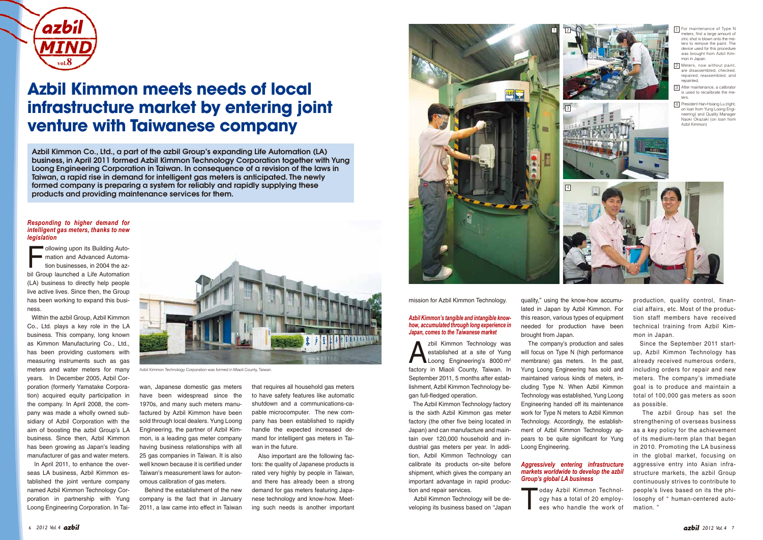

production, quality control, financial affairs, etc. Most of the production staff members have received technical training from Azbil Kimmon in Japan.

 Since the September 2011 startup, Azbil Kimmon Technology has already received numerous orders, including orders for repair and new meters. The company's immediate goal is to produce and maintain a total of 100,000 gas meters as soon as possible.

Following upon its Building Automation and Advanced Automation businesses, in 2004 the azbil Group launched a Life Automation (LA) business to directly help people live active lives. Since then, the Group has been working to expand this business.

> The azbil Group has set the strengthening of overseas business as a key policy for the achievement of its medium-term plan that began in 2010. Promoting the LA business in the global market, focusing on aggressive entry into Asian infrastructure markets, the azbil Group continuously strives to contribute to people's lives based on its the philosophy of " human-centered automation. "

 Within the azbil Group, Azbil Kimmon Co., Ltd. plays a key role in the LA business. This company, long known as Kimmon Manufacturing Co., Ltd., has been providing customers with measuring instruments such as gas meters and water meters for many years. In December 2005, Azbil Corporation (formerly Yamatake Corporation) acquired equity participation in the company. In April 2008, the company was made a wholly owned subsidiary of Azbil Corporation with the aim of boosting the azbil Group's LA business. Since then, Azbil Kimmon has been growing as Japan's leading manufacturer of gas and water meters.

zbil Kimmon Technology was<br>
established at a site of Yung<br>
Loong Engineering's 8000 m<sup>2</sup> established at a site of Yung factory in Miaoli County, Taiwan. In September 2011, 5 months after establishment, Azbil Kimmon Technology began full-fledged operation.

 In April 2011, to enhance the overseas LA business, Azbil Kimmon established the joint venture company named Azbil Kimmon Technology Corporation in partnership with Yung Loong Engineering Corporation. In Taiwan, Japanese domestic gas meters have been widespread since the 1970s, and many such meters manufactured by Azbil Kimmon have been sold through local dealers. Yung Loong Engineering, the partner of Azbil Kimmon, is a leading gas meter company having business relationships with all 25 gas companies in Taiwan. It is also well known because it is certified under Taiwan's measurement laws for autonomous calibration of gas meters.

> oday Azbil Kimmon Technology has a total of 20 employ-<br>ees who handle the work of ogy has a total of 20 employees who handle the work of

 Behind the establishment of the new company is the fact that in January 2011, a law came into effect in Taiwan that requires all household gas meters to have safety features like automatic shutdown and a communications-capable microcomputer. The new company has been established to rapidly handle the expected increased demand for intelligent gas meters in Taiwan in the future.

 Also important are the following factors: the quality of Japanese products is rated very highly by people in Taiwan, and there has already been a strong demand for gas meters featuring Japanese technology and know-how. Meeting such needs is another important

mission for Azbil Kimmon Technology.

 The Azbil Kimmon Technology factory is the sixth Azbil Kimmon gas meter factory (the other five being located in Japan) and can manufacture and maintain over 120,000 household and industrial gas meters per year. In addition, Azbil Kimmon Technology can calibrate its products on-site before shipment, which gives the company an important advantage in rapid production and repair services.

 Azbil Kimmon Technology will be developing its business based on "Japan

quality," using the know-how accumulated in Japan by Azbil Kimmon. For this reason, various types of equipment needed for production have been brought from Japan.

 The company's production and sales will focus on Type N (high performance membrane) gas meters. In the past, Yung Loong Engineering has sold and maintained various kinds of meters, including Type N. When Azbil Kimmon Technology was established, Yung Loong Engineering handed off its maintenance work for Type N meters to Azbil Kimmon Technology. Accordingly, the establishment of Azbil Kimmon Technology appears to be quite significant for Yung Loong Engineering.

#### *Aggressively entering infrastructure markets worldwide to develop the azbil Group's global LA business*

#### *Azbil Kimmon's tangible and intangible knowhow, accumulated through long experience in Japan, comes to the Taiwanese market*



#### *Responding to higher demand for intelligent gas meters, thanks to new legislation*

# **Azbil Kimmon meets needs of local infrastructure market by entering joint venture with Taiwanese company**

Azbil Kimmon Co., Ltd., a part of the azbil Group's expanding Life Automation (LA) business, in April 2011 formed Azbil Kimmon Technology Corporation together with Yung Loong Engineering Corporation in Taiwan. In consequence of a revision of the laws in Taiwan, a rapid rise in demand for intelligent gas meters is anticipated. The newly formed company is preparing a system for reliably and rapidly supplying these products and providing maintenance services for them.



Azbil Kimmon Technology Corporation was formed in Miaoli County, Taiwan.